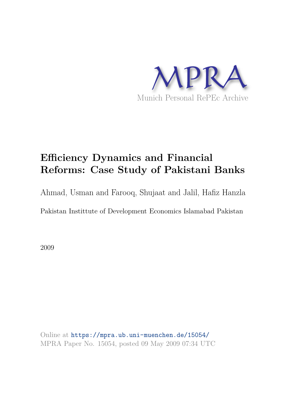

# **Efficiency Dynamics and Financial Reforms: Case Study of Pakistani Banks**

Ahmad, Usman and Farooq, Shujaat and Jalil, Hafiz Hanzla

Pakistan Instittute of Development Economics Islamabad Pakistan

2009

Online at https://mpra.ub.uni-muenchen.de/15054/ MPRA Paper No. 15054, posted 09 May 2009 07:34 UTC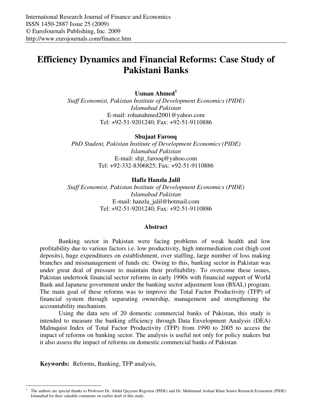# **Efficiency Dynamics and Financial Reforms: Case Study of Pakistani Banks**

## **Usman Ahmed<sup>1</sup>**

*Staff Economist, Pakistan Institute of Development Economics (PIDE) Islamabad Pakistan*  E-mail: rohanahmed2001@yahoo.com Tel: +92-51-9201240; Fax: +92-51-9110886

#### **Shujaat Farooq**

*PhD Student, Pakistan Institute of Development Economics (PIDE) Islamabad Pakistan*  E-mail: shjt\_farooq@yahoo.com Tel: +92-332-8306825; Fax: +92-51-9110886

#### **Hafiz Hanzla Jalil**

*Staff Economist, Pakistan Institute of Development Economics (PIDE) Islamabad Pakistan*  E-mail: hanzla\_jalil@hotmail.com Tel: +92-51-9201240; Fax: +92-51-9110886

#### **Abstract**

Banking sector in Pakistan were facing problems of weak health and low profitability due to various factors i.e. low productivity, high intermediation cost (high cost deposits), huge expenditures on establishment, over staffing, large number of loss making branches and mismanagement of funds etc. Owing to this, banking sector in Pakistan was under great deal of pressure to maintain their profitability. To overcome these issues, Pakistan undertook financial sector reforms in early 1990s with financial support of World Bank and Japanese government under the banking sector adjustment loan (BSAL) program. The main goal of these reforms was to improve the Total Factor Productivity (TFP) of financial system through separating ownership, management and strengthening the accountability mechanism.

Using the data sets of 20 domestic commercial banks of Pakistan, this study is intended to measure the banking efficiency through Data Envelopment Analysis (DEA) Malmquist Index of Total Factor Productivity (TFP) from 1990 to 2005 to access the impact of reforms on banking sector. The analysis is useful not only for policy makers but it also assess the impact of reforms on domestic commercial banks of Pakistan

**Keywords:** Reforms, Banking, TFP analysis,

 $\overline{a}$ 

<sup>1</sup> The authors are special thanks to Professor Dr. Abdul Qayyum Registrar (PIDE) and Dr. Muhmmad Arshad Khan Senior Research Economist (PIDE) Islamabad for their valuable comments on earlier draft of this study.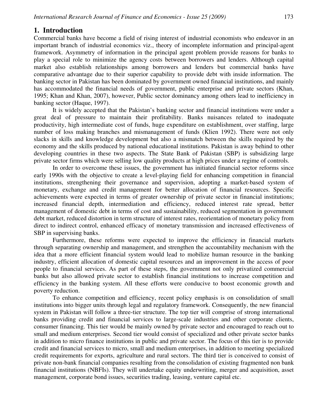# **1. Introduction**

Commercial banks have become a field of rising interest of industrial economists who endeavor in an important branch of industrial economics viz., theory of incomplete information and principal-agent framework. Asymmetry of information in the principal agent problem provide reasons for banks to play a special role to minimize the agency costs between borrowers and lenders. Although capital market also establish relationships among borrowers and lenders but commercial banks have comparative advantage due to their superior capability to provide debt with inside information. The banking sector in Pakistan has been dominated by government owned financial institutions, and mainly has accommodated the financial needs of government, public enterprise and private sectors (Khan, 1995; Khan and Khan, 2007), however, Public sector dominancy among others lead to inefficiency in banking sector (Haque, 1997).

It is widely accepted that the Pakistan's banking sector and financial institutions were under a great deal of pressure to maintain their profitability. Banks nuisances related to inadequate productivity, high intermediate cost of funds, huge expenditure on establishment, over staffing, large number of loss making branches and mismanagement of funds (Klien 1992). There were not only slacks in skills and knowledge development but also a mismatch between the skills required by the economy and the skills produced by national educational institutions. Pakistan is away behind to other developing countries in these two aspects. The State Bank of Pakistan (SBP) is subsidizing large private sector firms which were selling low quality products at high prices under a regime of controls.

In order to overcome these issues, the government has initiated financial sector reforms since early 1990s with the objective to create a level-playing field for enhancing competition in financial institutions, strengthening their governance and supervision, adopting a market-based system of monetary, exchange and credit management for better allocation of financial resources. Specific achievements were expected in terms of greater ownership of private sector in financial institutions; increased financial depth, intermediation and efficiency, reduced interest rate spread, better management of domestic debt in terms of cost and sustainability, reduced segmentation in government debt market, reduced distortion in term structure of interest rates, reorientation of monetary policy from direct to indirect control, enhanced efficacy of monetary transmission and increased effectiveness of SBP in supervising banks.

Furthermore, these reforms were expected to improve the efficiency in financial markets through separating ownership and management, and strengthen the accountability mechanism with the idea that a more efficient financial system would lead to mobilize human resource in the banking industry, efficient allocation of domestic capital resources and an improvement in the access of poor people to financial services. As part of these steps, the government not only privatized commercial banks but also allowed private sector to establish financial institutions to increase competition and efficiency in the banking system. All these efforts were conducive to boost economic growth and poverty reduction.

To enhance competition and efficiency, recent policy emphasis is on consolidation of small institutions into bigger units through legal and regulatory framework. Consequently, the new financial system in Pakistan will follow a three-tier structure. The top tier will comprise of strong international banks providing credit and financial services to large-scale industries and other corporate clients, consumer financing. This tier would be mainly owned by private sector and encouraged to reach out to small and medium enterprises. Second tier would consist of specialized and other private sector banks in addition to micro finance institutions in public and private sector. The focus of this tier is to provide credit and financial services to micro, small and medium enterprises, in addition to meeting specialized credit requirements for exports, agriculture and rural sectors. The third tier is conceived to consist of private non-bank financial companies resulting from the consolidation of existing fragmented non bank financial institutions (NBFIs). They will undertake equity underwriting, merger and acquisition, asset management, corporate bond issues, securities trading, leasing, venture capital etc.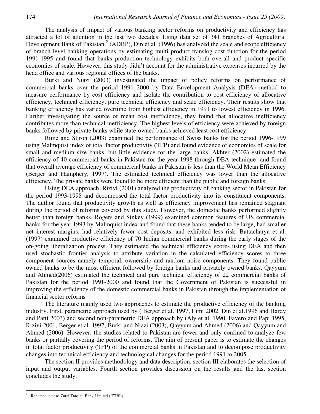The analysis of impact of various banking sector reforms on productivity and efficiency has attracted a lot of attention in the last two decades. Using data set of 341 branches of Agricultural Development Bank of Pakistan<sup>2</sup> (ADBP), Din et al. (1996) has analyzed the scale and scope efficiency of branch level banking operations by estimating multi product translog cost function for the period 1991-1995 and found that banks production technology exhibits both overall and product specific economies of scale. However, this study didn't account for the administrative expenses incurred by the head office and various regional offices of the banks.

Burki and Niazi (2003) investigated the impact of policy reforms on performance of commercial banks over the period 1991–2000 by Data Envelopment Analysis (DEA) method to measure performance by cost efficiency and isolate the contribution to cost efficiency of allocative efficiency, technical efficiency, pure technical efficiency and scale efficiency. Their results show that banking efficiency has varied overtime from highest efficiency in 1991 to lowest efficiency in 1996. Further investigating the source of mean cost inefficiency, they found that allocative inefficiency contributes more than technical inefficiency. The highest levels of efficiency were achieved by foreign banks followed by private banks while state-owned banks achieved least cost efficiency.

Rime and Stiroh (2003) examined the performance of Swiss banks for the period 1996-1999 using Malmquist index of total factor productivity (TFP) and found evidence of economies of scale for small and medium size banks, but little evidence for the large banks. Akhter (2002) estimated the efficiency of 40 commercial banks in Pakistan for the year 1998 through DEA technique and found that overall average efficiency of commercial banks in Pakistan is less than the World Mean Efficiency (Berger and Hamphery, 1997). The estimated technical efficiency was lower than the allocative efficiency. The private banks were found to be more efficient than the public and foreign banks.

Using DEA approach, Rizivi (2001) analyzed the productivity of banking sector in Pakistan for the period 1993-1998 and decomposed the total factor productivity into its constituent components. The author found that productivity growth as well as efficiency improvement has remained stagnant during the period of reforms covered by this study. However, the domestic banks performed slightly better than foreign banks. Rogers and Sinkey (1999) examined common features of US commercial banks for the year 1993 by Malmquist index and found that these banks tended to be large, had smaller net interest margins, had relatively fewer cost deposits, and exhibited less risk. Battacharya et al. (1997) examined productive efficiency of 70 Indian commercial banks during the early stages of the on-going liberalization process. They estimated the technical efficiency scores using DEA and then used stochastic frontier analysis to attribute variation in the calculated efficiency scores to three component sources namely temporal, ownership and random noise components. They found public owned banks to be the most efficient followed by foreign banks and privately owned banks. Qayyum and Ahmed(2006) estimated the technical and pure technical efficiency of 22 commercial banks of Pakistan for the period 1991-2000 and found that the Government of Pakistan is successful in improving the efficiency of the domestic commercial banks in Pakistan through the implementation of financial sector reforms

The literature mainly used two approaches to estimate the productive efficiency of the banking industry. First, parametric approach used by ( Berger.et al. 1997, Limi 2002, Din et al.1996 and Hardy and Patti 2003) and second non-parametric DEA approach by (Aly et al. 1990, Favero and Papi 1995, Rizivi 2001, Berger et al. 1997, Burki and Niazi (2003), Qayyum and Ahmed (2006) and Qayyum and Ahmed (2006). However, the studies related to Pakistan are fewer and only confined to analyze few banks or partially covering the period of reforms. The aim of present paper is to estimate the changes in total factor productivity (TFP) of the commercial banks in Pakistan and to decompose productivity changes into technical efficiency and technological changes for the period 1991 to 2005.

The section II provides methodology and data description, section III elaborates the selection of input and output variables. Fourth section provides discussion on the results and the last section concludes the study.

 $\overline{a}$ 

<sup>2</sup> Renamed later as Zarai Tarqiati Bank Limited ( ZTBL)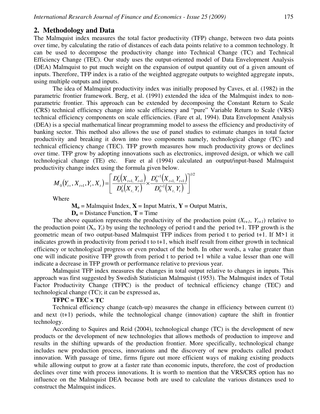#### **2. Methodology and Data**

The Malmquist index measures the total factor productivity (TFP) change, between two data points over time, by calculating the ratio of distances of each data points relative to a common technology. It can be used to decompose the productivity change into Technical Change (TC) and Technical Efficiency Change (TEC). Our study uses the output-oriented model of Data Envelopment Analysis (DEA) Malmquist to put much weight on the expansion of output quantity out of a given amount of inputs. Therefore, TFP index is a ratio of the weighted aggregate outputs to weighted aggregate inputs, using multiple outputs and inputs.

The idea of Malmquist productivity index was initially proposed by Caves, et al. (1982) in the parametric frontier framework. Berg, et al. (1991) extended the idea of the Malmquist index to nonparametric frontier. This approach can be extended by decomposing the Constant Return to Scale (CRS) technical efficiency change into scale efficiency and "pure" Variable Return to Scale (VRS) technical efficiency components on scale efficiencies. (Fare et al, 1994). Data Envelopment Analysis (DEA) is a special mathematical linear programming model to assess the efficiency and productivity of banking sector. This method also allows the use of panel studies to estimate changes in total factor productivity and breaking it down into two components namely, technological change (TC) and technical efficiency change (TEC). TFP growth measures how much productivity grows or declines over time. TFP grow by adopting innovations such as electronics, improved design, or which we call technological change (TE) etc. Fare et al (1994) calculated an output/input-based Malmquist productivity change index using the formula given below.

$$
M_0(Y_{t+}, X_{t+1}, Y_t, X_t) = \left[ \frac{D_0^t(X_{t+1}, Y_{t+1})}{D_0^t(X_{t+1}, Y_t)} \times \frac{D_0^{t+1}(X_{t+1}, Y_{t+1})}{D_0^{t+1}(X_{t+1}, Y_t)} \right]^{1/2}
$$

Where

 $M_0$  = Malmquist Index,  $X$  = Input Matrix,  $Y$  = Output Matrix,

 $D_0$  = Distance Function, **T** = Time

The above equation represents the productivity of the production point  $(X_{t+1}, Y_{t+1})$  relative to the production point  $(X_t, Y_t)$  by using the technology of period t and the period t+1. TFP growth is the geometric mean of two output-based Malmquist TFP indices from period t to period t+1. If M>1 it indicates growth in productivity from period t to t+1, which itself result from either growth in technical efficiency or technological progress or even product of the both. In other words, a value greater than one will indicate positive TFP growth from period t to period t+1 while a value lesser than one will indicate a decrease in TFP growth or performance relative to previous year.

Malmquist TFP index measures the changes in total output relative to changes in inputs. This approach was first suggested by Swedish Statistician Malmquist (1953). The Malmquist index of Total Factor Productivity Change (TFPC) is the product of technical efficiency change (TEC) and technological change (TC); it can be expressed as,

#### **TFPC = TEC** × **TC**

Technical efficiency change (catch-up) measures the change in efficiency between current (t) and next  $(t+1)$  periods, while the technological change (innovation) capture the shift in frontier technology.

According to Squires and Reid (2004), technological change (TC) is the development of new products or the development of new technologies that allows methods of production to improve and results in the shifting upwards of the production frontier. More specifically, technological change includes new production process, innovations and the discovery of new products called product innovation. With passage of time, firms figure out more efficient ways of making existing products while allowing output to grow at a faster rate than economic inputs, therefore, the cost of production declines over time with process innovations. It is worth to mention that the VRS/CRS option has no influence on the Malmquist DEA because both are used to calculate the various distances used to construct the Malmquist indices.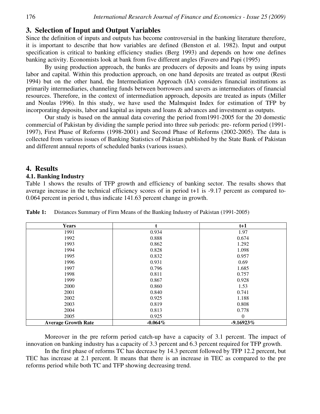# **3. Selection of Input and Output Variables**

Since the definition of inputs and outputs has become controversial in the banking literature therefore, it is important to describe that how variables are defined (Benston et al. 1982). Input and output specification is critical to banking efficiency studies (Berg 1993) and depends on how one defines banking activity. Economists look at bank from five different angles (Favero and Papi (1995)

By using production approach, the banks are producers of deposits and loans by using inputs labor and capital. Within this production approach, on one hand deposits are treated as output (Resti 1994) but on the other hand, the Intermediation Approach (IA) considers financial institutions as primarily intermediaries, channeling funds between borrowers and savers as intermediators of financial resources. Therefore, in the context of intermediation approach, deposits are treated as inputs (Miller and Noulas 1996). In this study, we have used the Malmquist Index for estimation of TFP by incorporating deposits, labor and kapital as inputs and loans & advances and investment as outputs.

Our study is based on the annual data covering the period from1991-2005 for the 20 domestic commercial of Pakistan by dividing the sample period into three sub periods: pre- reform period (1991- 1997), First Phase of Reforms (1998-2001) and Second Phase of Reforms (2002-2005). The data is collected from various issues of Banking Statistics of Pakistan published by the State Bank of Pakistan and different annual reports of scheduled banks (various issues).

#### **4. Results**

#### **4.1. Banking Industry**

Table 1 shows the results of TFP growth and efficiency of banking sector. The results shows that average increase in the technical efficiency scores of in period t+1 is -9.17 percent as compared to-0.064 percent in period t, thus indicate 141.63 percent change in growth.

| <b>Years</b>               |            | $t+1$       |
|----------------------------|------------|-------------|
| 1991                       | 0.934      | 1.97        |
| 1992                       | 0.888      | 0.674       |
| 1993                       | 0.862      | 1.292       |
| 1994                       | 0.828      | 1.098       |
| 1995                       | 0.832      | 0.957       |
| 1996                       | 0.931      | 0.69        |
| 1997                       | 0.796      | 1.685       |
| 1998                       | 0.811      | 0.757       |
| 1999                       | 0.867      | 0.928       |
| 2000                       | 0.860      | 1.53        |
| 2001                       | 0.840      | 0.741       |
| 2002                       | 0.925      | 1.188       |
| 2003                       | 0.819      | 0.808       |
| 2004                       | 0.813      | 0.778       |
| 2005                       | 0.925      | $\Omega$    |
| <b>Average Growth Rate</b> | $-0.064\%$ | $-9.16923%$ |

**Table 1:** Distances Summary of Firm Means of the Banking Industry of Pakistan (1991-2005)

Moreover in the pre reform period catch-up have a capacity of 3.1 percent. The impact of innovation on banking industry has a capacity of 3.3 percent and 6.3 percent required for TFP growth.

In the first phase of reforms TC has decrease by 14.3 percent followed by TFP 12.2 percent, but TEC has increase at 2.1 percent. It means that there is an increase in TEC as compared to the pre reforms period while both TC and TFP showing decreasing trend.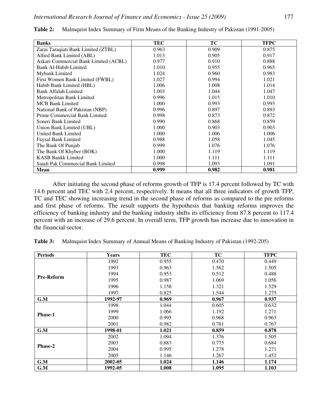| <b>Banks</b>                          | TEC   | TC    | <b>TFPC</b> |
|---------------------------------------|-------|-------|-------------|
| Zarai Taraqiati Bank Limited (ZTBL)   | 0.963 | 0.909 | 0.875       |
| Allied Bank Limited (ABL)             | 1.013 | 0.905 | 0.917       |
| Askari Commercial Bank Limited (ACBL) | 0.977 | 0.910 | 0.888       |
| Bank Al-Habib Limited                 | 1.010 | 0.955 | 0.965       |
| Mybank Limited                        | 1.024 | 0.960 | 0.983       |
| First Women Bank Limited (FWBL)       | 1.027 | 0.994 | 1.021       |
| Habib Bank Limited (HBL)              | 1.006 | 1.008 | 1.014       |
| Bank Alfalah Limited                  | 1.003 | 1.044 | 1.047       |
| Metropolitan Bank Limited             | 0.996 | 1.015 | 1.010       |
| <b>MCB Bank Limited</b>               | 1.000 | 0.993 | 0.993       |
| National Bank of Pakistan (NBP)       | 0.996 | 0.897 | 0.893       |
| Prime Commercial Bank Limited         | 0.998 | 0.873 | 0.872       |
| Soneri Bank Limited                   | 0.990 | 0.868 | 0.859       |
| Union Bank Limited (UBL)              | 1.000 | 0.903 | 0.903       |
| <b>United Bank Limited</b>            | 1.000 | 1.006 | 1.006       |
| Faysal Bank Limited                   | 0.988 | 1.058 | 1.045       |
| The Bank Of Punjab                    | 0.999 | 1.076 | 1.076       |
| The Bank Of Khyber (BOK)              | 1.000 | 1.119 | 1.119       |
| <b>KASB Bankk Limited</b>             | 1.000 | 1.111 | 1.111       |
| Saudi Pak Commercial Bank Limited     | 0.998 | 1.093 | 1.091       |
| <b>Mean</b>                           | 0.999 | 0.982 | 0.981       |

**Table 2:** Malmquist Index Summary of Firm Means of the Banking Industry of Pakistan (1991-2005)

After initiating the second phase of reforms growth of TFP is 17.4 percent followed by TC with 14.6 percent and TEC with 2.4 percent, respectively. It means that all three indicators of growth TFP, TC and TEC showing increasing trend in the second phase of reforms as compared to the pre reforms and first phase of reforms. The result supports the hypothesis that banking reforms improves the efficiency of banking industry and the banking industry shifts its efficiency from 87.8 percent to 117.4 percent with an increase of 29.6 percent. In overall term, TFP growth has increase due to innovation in the financial sector.

**Table 3:** Malmquist Index Summary of Annual Means of Banking Industry of Pakistan (1992-205)

| <b>Periods</b>    | <b>Years</b> | TEC   | <b>TC</b> | <b>TFPC</b> |
|-------------------|--------------|-------|-----------|-------------|
| <b>Pre-Reform</b> | 1992         | 0.955 | 0.470     | 0.449       |
|                   | 1993         | 0.963 | 1.562     | 1.505       |
|                   | 1994         | 0.953 | 0.512     | 0.488       |
|                   | 1995         | 0.987 | 1.069     | 1.056       |
|                   | 1996         | 1.158 | 1.321     | 1.529       |
|                   | 1997         | 0.825 | 1.544     | 1.275       |
| G.M               | 1992-97      | 0.969 | 0.967     | 0.937       |
| <b>Phase-1</b>    | 1998         | 1.044 | 0.605     | 0.632       |
|                   | 1999         | 1.066 | 1.192     | 1.271       |
|                   | 2000         | 0.995 | 0.968     | 0.963       |
|                   | 2001         | 0.982 | 0.781     | 0.767       |
| G.M               | 1998-01      | 1.021 | 0.859     | 0.878       |
| Phase-2           | 2002         | 1.094 | 1.376     | 1.505       |
|                   | 2003         | 0.883 | 0.775     | 0.684       |
|                   | 2004         | 0.995 | 1.278     | 1.271       |
|                   | 2005         | 1.146 | 1.267     | 1.452       |
| G.M               | 2002-05      | 1.024 | 1.146     | 1.174       |
| G.M               | 1992-05      | 1.008 | 1.095     | 1.103       |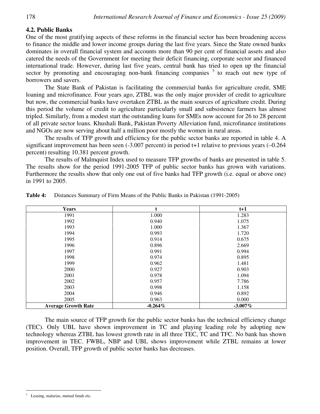## **4.2. Public Banks**

One of the most gratifying aspects of these reforms in the financial sector has been broadening access to finance the middle and lower income groups during the last five years. Since the State owned banks dominates in overall financial system and accounts more than 90 per cent of financial assets and also catered the needs of the Government for meeting their deficit financing, corporate sector and financed international trade. However, during last five years, central bank has tried to open up the financial sector by promoting and encouraging non-bank financing companies  $3$  to reach out new type of borrowers and savers.

The State Bank of Pakistan is facilitating the commercial banks for agriculture credit, SME loaning and microfinance. Four years ago, ZTBL was the only major provider of credit to agriculture but now, the commercial banks have overtaken ZTBL as the main sources of agriculture credit. During this period the volume of credit to agriculture particularly small and subsistence farmers has almost tripled. Similarly, from a modest start the outstanding loans for SMEs now account for 26 to 28 percent of all private sector loans. Khushali Bank, Pakistan Poverty Alleviation fund, microfinance institutions and NGOs are now serving about half a million poor mostly the women in rural areas.

The results of TFP growth and efficiency for the public sector banks are reported in table 4. A significant improvement has been seen (-3.007 percent) in period t+1 relative to previous years (-0.264 percent) resulting 10.381 percent growth.

The results of Malmquist Index used to measure TFP growths of banks are presented in table 5. The results show for the period 1991-2005 TFP of public sector banks has grown with variations. Furthermore the results show that only one out of five banks had TFP growth (i.e. equal or above one) in 1991 to 2005.

| <b>Years</b>               |            | $t+1$      |
|----------------------------|------------|------------|
| 1991                       | 1.000      | 1.283      |
| 1992                       | 0.940      | 1.075      |
| 1993                       | 1.000      | 1.367      |
| 1994                       | 0.993      | 1.720      |
| 1995                       | 0.914      | 0.675      |
| 1996                       | 0.896      | 2.669      |
| 1997                       | 0.991      | 0.994      |
| 1998                       | 0.974      | 0.895      |
| 1999                       | 0.962      | 1.481      |
| 2000                       | 0.927      | 0.903      |
| 2001                       | 0.978      | 1.094      |
| 2002                       | 0.957      | 7.786      |
| 2003                       | 0.998      | 1.158      |
| 2004                       | 0.946      | 0.892      |
| 2005                       | 0.963      | 0.000      |
| <b>Average Growth Rate</b> | $-0.264\%$ | $-3.007\%$ |

**Table 4:** Distances Summary of Firm Means of the Public Banks in Pakistan (1991-2005)

The main source of TFP growth for the public sector banks has the technical efficiency change (TEC). Only UBL have shown improvement in TC and playing leading role by adopting new technology whereas ZTBL has lowest growth rate in all three TEC, TC and TFC. No bank has shown improvement in TEC. FWBL, NBP and UBL shows improvement while ZTBL remains at lower position. Overall, TFP growth of public sector banks has decreases.

 $\overline{a}$ 3 Leasing, malarias, mutual funds etc.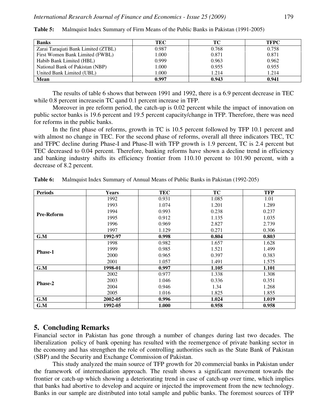| <b>Banks</b>                        | TEC   | ТC    | <b>TFPC</b> |
|-------------------------------------|-------|-------|-------------|
| Zarai Taraqiati Bank Limited (ZTBL) | 0.987 | 0.768 | 0.758       |
| First Women Bank Limited (FWBL)     | 1.000 | 0.871 | 0.871       |
| Habib Bank Limited (HBL)            | 0.999 | 0.963 | 0.962       |
| National Bank of Pakistan (NBP)     | 1.000 | 0.955 | 0.955       |
| United Bank Limited (UBL)           | 000.1 | 1.214 | 1.214       |
| <b>Mean</b>                         | 0.997 | 0.943 | 0.941       |

**Table 5:** Malmquist Index Summary of Firm Means of the Public Banks in Pakistan (1991-2005)

The results of table 6 shows that between 1991 and 1992, there is a 6.9 percent decrease in TEC while 0.8 percent increasein TC qand 0.1 percent increase in TFP.

Moreover in pre reform period, the catch-up is 0.02 percent while the impact of innovation on public sector banks is 19.6 percent and 19.5 percent capacity/change in TFP. Therefore, there was need for reforms in the public banks.

In the first phase of reforms, growth in TC is 10.5 percent followed by TFP 10.1 percent and with almost no change in TEC. For the second phase of reforms, overall all three indicators TEC, TC and TFPC decline during Phase-I and Phase-II with TFP growth is 1.9 percent, TC is 2.4 percent but TEC decreased to 0.04 percent. Therefore, banking reforms have shown a decline trend in efficiency and banking industry shifts its efficiency frontier from 110.10 percent to 101.90 percent, with a decrease of 8.2 percent.

| <b>Periods</b>    | <b>Years</b> | <b>TEC</b> | TC    | <b>TFP</b> |
|-------------------|--------------|------------|-------|------------|
|                   | 1992         | 0.931      | 1.085 | 1.01       |
|                   | 1993         | 1.074      | 1.201 | 1.289      |
|                   | 1994         | 0.993      | 0.238 | 0.237      |
| <b>Pre-Reform</b> | 1995         | 0.912      | 1.135 | 1.035      |
|                   | 1996         | 0.969      | 2.827 | 2.739      |
|                   | 1997         | 1.129      | 0.271 | 0.306      |
| G.M               | 1992-97      | 0.998      | 0.804 | 0.803      |
| <b>Phase-1</b>    | 1998         | 0.982      | 1.657 | 1.628      |
|                   | 1999         | 0.985      | 1.521 | 1.499      |
|                   | 2000         | 0.965      | 0.397 | 0.383      |
|                   | 2001         | 1.057      | 1.491 | 1.575      |
| G.M               | 1998-01      | 0.997      | 1.105 | 1.101      |
| <b>Phase-2</b>    | 2002         | 0.977      | 1.338 | 1.308      |
|                   | 2003         | 1.046      | 0.336 | 0.351      |
|                   | 2004         | 0.946      | 1.34  | 1.268      |
|                   | 2005         | 1.016      | 1.825 | 1.855      |
| G.M               | 2002-05      | 0.996      | 1.024 | 1.019      |
| G.M               | 1992-05      | 1.000      | 0.958 | 0.958      |

**Table 6:** Malmquist Index Summary of Annual Means of Public Banks in Pakistan (1992-205)

# **5. Concluding Remarks**

Financial sector in Pakistan has gone through a number of changes during last two decades. The liberalization policy of bank opening has resulted with the reemergence of private banking sector in the economy and has strengthen the role of controlling authorities such as the State Bank of Pakistan (SBP) and the Security and Exchange Commission of Pakistan.

This study analyzed the main source of TFP growth for 20 commercial banks in Pakistan under the framework of intermediation approach. The result shows a significant movement towards the frontier or catch-up which showing a deteriorating trend in case of catch-up over time, which implies that banks had abortive to develop and acquire or injected the improvement from the new technology. Banks in our sample are distributed into total sample and public banks. The foremost sources of TFP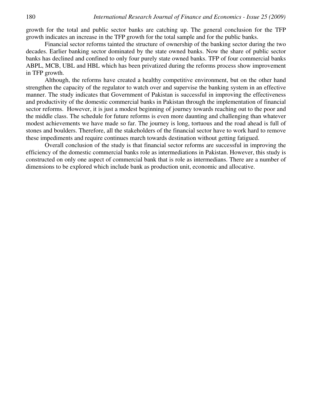growth for the total and public sector banks are catching up. The general conclusion for the TFP growth indicates an increase in the TFP growth for the total sample and for the public banks.

Financial sector reforms tainted the structure of ownership of the banking sector during the two decades. Earlier banking sector dominated by the state owned banks. Now the share of public sector banks has declined and confined to only four purely state owned banks. TFP of four commercial banks ABPL, MCB, UBL and HBL which has been privatized during the reforms process show improvement in TFP growth.

Although, the reforms have created a healthy competitive environment, but on the other hand strengthen the capacity of the regulator to watch over and supervise the banking system in an effective manner. The study indicates that Government of Pakistan is successful in improving the effectiveness and productivity of the domestic commercial banks in Pakistan through the implementation of financial sector reforms. However, it is just a modest beginning of journey towards reaching out to the poor and the middle class. The schedule for future reforms is even more daunting and challenging than whatever modest achievements we have made so far. The journey is long, tortuous and the road ahead is full of stones and boulders. Therefore, all the stakeholders of the financial sector have to work hard to remove these impediments and require continues march towards destination without getting fatigued.

Overall conclusion of the study is that financial sector reforms are successful in improving the efficiency of the domestic commercial banks role as intermediations in Pakistan. However, this study is constructed on only one aspect of commercial bank that is role as intermedians. There are a number of dimensions to be explored which include bank as production unit, economic and allocative.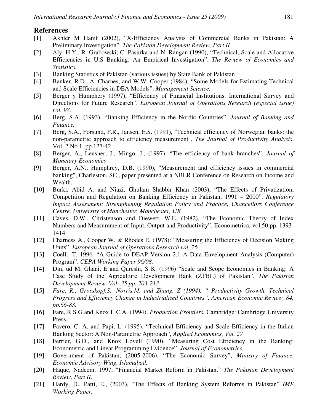#### **References**

- [1] Akhter M Hanif (2002), "X-Efficiency Analysis of Commercial Banks in Pakistan: A Preliminary Investigation". *The Pakistan Development Review, Part II.*
- [2] Aly, H.Y., R. Grabowski, C. Pasurka and N. Rangan (1990), "Technical, Scale and Allocative Efficiencies in U.S Banking: An Empirical Investigation". *The Review of Economics and Statistics.*
- [3] Banking Statistics of Pakistan (various issues) by State Bank of Pakistan
- [4] Banker, R.D., A. Charnes, and W.W. Cooper (1984), "Some Models for Estimating Technical and Scale Efficiencies in DEA Models". *Management Science.*
- [5] Berger y Humphery (1997), "Efficiency of Financial Institutions: International Survey and Directions for Future Research". *European Journal of Operations Research (especial issue) vol. 98.*
- [6] Berg, S.A. (1993), "Banking Efficiency in the Nordic Countries". *Journal of Banking and Finance.*
- [7] Berg, S.A., Forsund, F.R., Jansen, E.S. (1991), "Technical efficiency of Norwegian banks: the non-parametric approach to efficiency measurement", *The Journal of Productivity Analysis*, Vol. 2 No.1, pp.127-42.
- [8] Berger, A., Leusner, J., Mingo, J., (1997), "The efficiency of bank branches". *Journal of Monetary Economics*
- [9] Berger, A.N., Humphrey, D.B. (1990), "Measurement and efficiency issues in commercial banking", Charleston, SC., paper presented at a NBER Conference on Research on Income and Wealth,
- [10] Burki, Abid A. and Niazi, Ghulam Shabbir Khan (2003), "The Effects of Privatization, Competition and Regulation on Banking Efficiency in Pakistan, 1991 – 2000". *Regulatory Impact Assessment: Strengthening Regulation Policy and Practice, Chancellors Conference Centre, University of Manchester, Manchester, UK*
- [11] Caves, D.W., Christenson and Diewert, W.E. (1982), "The Economic Theory of Index Numbers and Measurement of Input, Output and Productivity", Econometrica, vol.50,pp. 1393- 1414
- [12] Charness A., Cooper W. & Rhodes E. (1978): "Measuring the Efficiency of Decision Making Units". *European Journal of Operations Research vol. 26*
- [13] Coelli, T. 1996. "A Guide to DEAP Version 2.1 A Data Envelopment Analysis (Computer) Program". *CEPA Working Paper 96/08.*
- [14] Din, ud M, Ghani, E and Qureshi, S K. (1996) "Scale and Scope Economies in Banking: A Case Study of the Agriculture Development Bank (ZTBL) of Pakistan". *The Pakistan Development Review. Vol: 35 pp. 203-213*
- [15] *Fare, R., Grosskopf,S., Norris,M. and Zhang, Z (1994), " Productivity Growth, Technical Progress and Efficiency Change in Industrialized Countries", American Economic Review, 84, pp.66-83.*
- [16] Fare, R S G and Knox L C.A. (1994). *Production Frontiers.* Cambridge: Cambridge University Press.
- [17] Favero, C. A. and Papi, L. (1995). "Technical Efficiency and Scale Efficiency in the Italian Banking Sector: A Non-Parametric Approach", *Applied Economics, Vol. 27*
- [18] Ferrier, G.D., and Knox Lovell (1990), "Measuring Cost Efficiency in the Banking: Econometric and Linear Programming Evidence". *Journal of Econometrics.*
- [19] Government of Pakistan, (2005-2006), "The Economic Survey", *Ministry of Finance, Economic Advisory Wing, Islamabad.*
- [20] Haque, Nadeem, 1997, "Financial Market Reform in Pakistan," *The Pakistan Development Review, Part II.*
- [21] Hardy, D., Patti, E., (2003), "The Effects of Banking System Reforms in Pakistan" *IMF Working Paper.*